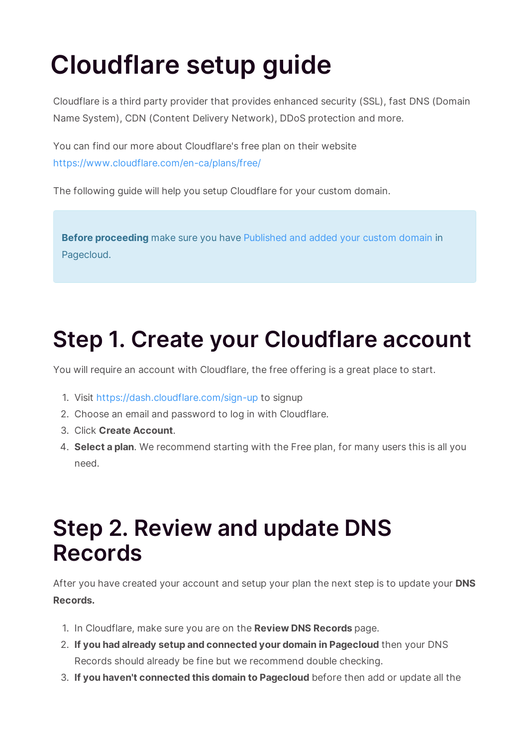# **Cloudflare setup guide**

Cloudflare is a third party provider that provides enhanced security (SSL), fast DNS (Domain Name System), CDN (Content Delivery Network), DDoS protection and more.

You can find our more about Cloudflare's free plan on their website https://www.cloudflare.com/en-ca/plans/free/

The following guide will help you setup Cloudflare for your custom domain.

**Before proceeding** make sure you have Published and added your custom domain in Pagecloud.

# **Step 1. Create your Cloudflare account**

You will require an account with Cloudflare, the free offering is a great place to start.

- 1. Visit https://dash.cloudflare.com/sign-up to signup
- 2. Choose an email and password to log in with Cloudflare.
- 3. Click **Create Account**.
- 4. **Select a plan**. We recommend starting with the Free plan, for many users this is all you need.

#### **Step 2. Review and update DNS Records**

After you have created your account and setup your plan the next step is to update your **DNS Records.**

- 1. In Cloudflare, make sure you are on the **Review DNS Records** page.
- 2. **If you had already setup and connected your domain in Pagecloud** then your DNS Records should already be fine but we recommend double checking.
- 3. **If you haven't connected this domain to Pagecloud** before then add or update all the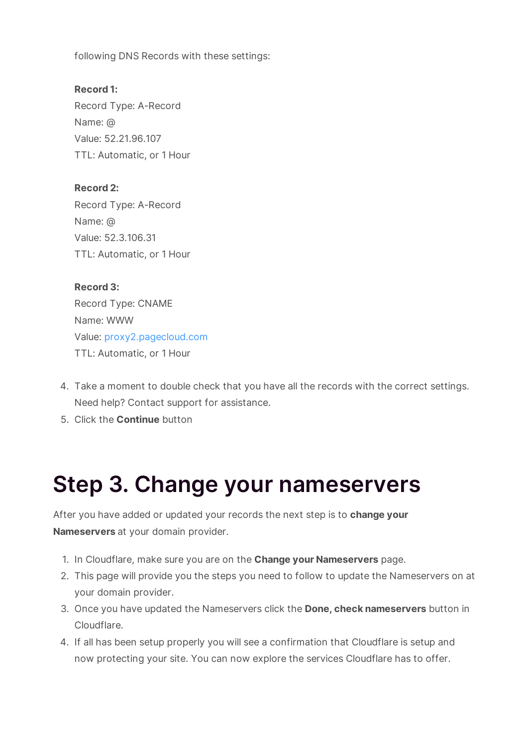following DNS Records with these settings:

**Record 1:** Record Type: A-Record Name: @ Value: 52.21.96.107 TTL: Automatic, or 1 Hour

**Record 2:** Record Type: A-Record Name: @ Value: 52.3.106.31 TTL: Automatic, or 1 Hour

**Record 3:** Record Type: CNAME Name: WWW Value: proxy2.pagecloud.com TTL: Automatic, or 1 Hour

- 4. Take a moment to double check that you have all the records with the correct settings. Need help? Contact support for assistance.
- 5. Click the **Continue** button

### **Step 3. Change your nameservers**

After you have added or updated your records the next step is to **change your Nameservers** at your domain provider.

- 1. In Cloudflare, make sure you are on the **Change your Nameservers** page.
- 2. This page will provide you the steps you need to follow to update the Nameservers on at your domain provider.
- 3. Once you have updated the Nameservers click the **Done, check nameservers** button in Cloudflare.
- 4. If all has been setup properly you will see a confirmation that Cloudflare is setup and now protecting your site. You can now explore the services Cloudflare has to offer.